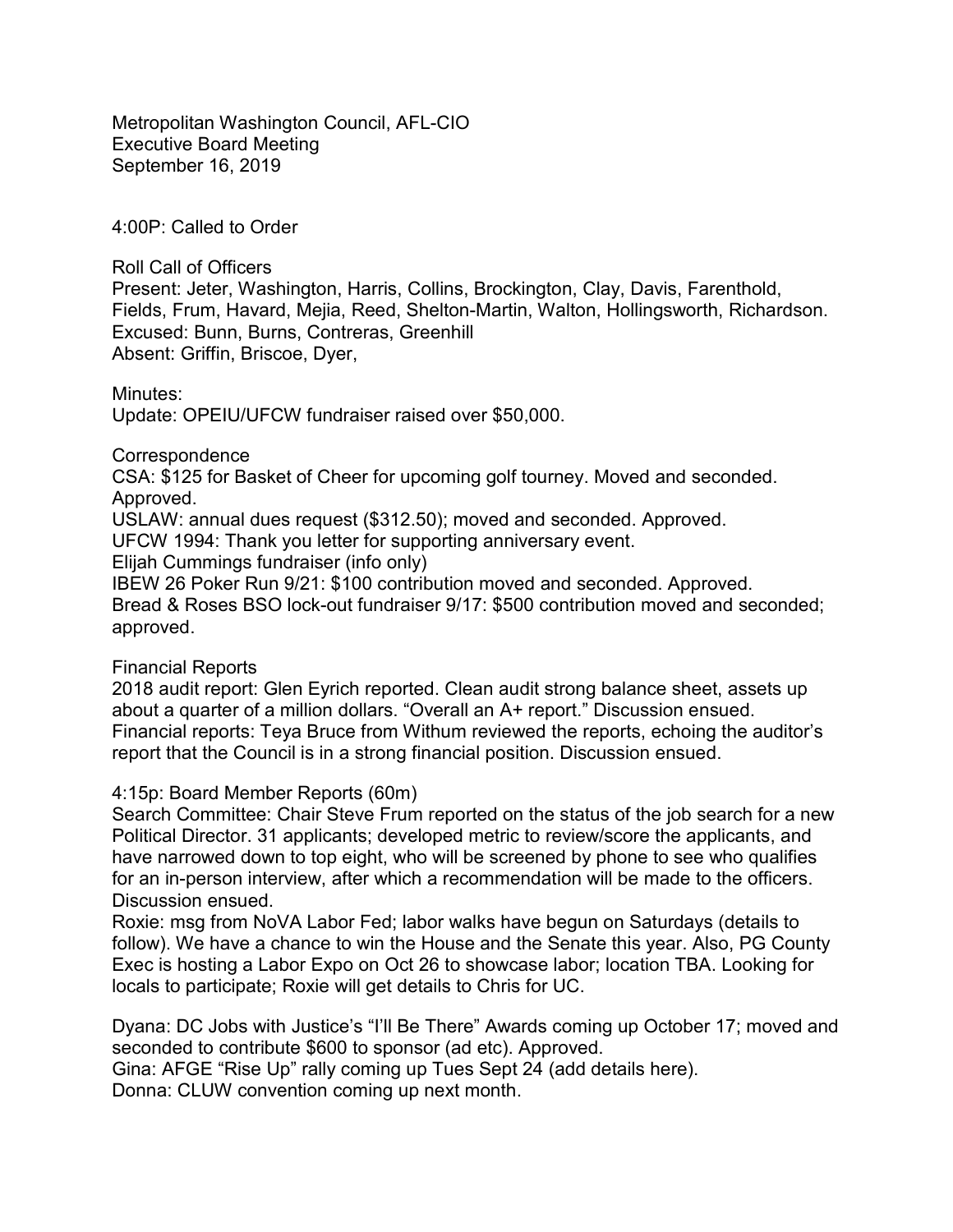Metropolitan Washington Council, AFL-CIO Executive Board Meeting September 16, 2019

4:00P: Called to Order

Roll Call of Officers

Present: Jeter, Washington, Harris, Collins, Brockington, Clay, Davis, Farenthold, Fields, Frum, Havard, Mejia, Reed, Shelton-Martin, Walton, Hollingsworth, Richardson. Excused: Bunn, Burns, Contreras, Greenhill Absent: Griffin, Briscoe, Dyer,

Minutes: Update: OPEIU/UFCW fundraiser raised over \$50,000.

**Correspondence** 

CSA: \$125 for Basket of Cheer for upcoming golf tourney. Moved and seconded. Approved.

USLAW: annual dues request (\$312.50); moved and seconded. Approved.

UFCW 1994: Thank you letter for supporting anniversary event.

Elijah Cummings fundraiser (info only)

IBEW 26 Poker Run 9/21: \$100 contribution moved and seconded. Approved. Bread & Roses BSO lock-out fundraiser 9/17: \$500 contribution moved and seconded; approved.

## Financial Reports

2018 audit report: Glen Eyrich reported. Clean audit strong balance sheet, assets up about a quarter of a million dollars. "Overall an A+ report." Discussion ensued. Financial reports: Teya Bruce from Withum reviewed the reports, echoing the auditor's report that the Council is in a strong financial position. Discussion ensued.

## 4:15p: Board Member Reports (60m)

Search Committee: Chair Steve Frum reported on the status of the job search for a new Political Director. 31 applicants; developed metric to review/score the applicants, and have narrowed down to top eight, who will be screened by phone to see who qualifies for an in-person interview, after which a recommendation will be made to the officers. Discussion ensued.

Roxie: msg from NoVA Labor Fed; labor walks have begun on Saturdays (details to follow). We have a chance to win the House and the Senate this year. Also, PG County Exec is hosting a Labor Expo on Oct 26 to showcase labor; location TBA. Looking for locals to participate; Roxie will get details to Chris for UC.

Dyana: DC Jobs with Justice's "I'll Be There" Awards coming up October 17; moved and seconded to contribute \$600 to sponsor (ad etc). Approved.

Gina: AFGE "Rise Up" rally coming up Tues Sept 24 (add details here).

Donna: CLUW convention coming up next month.